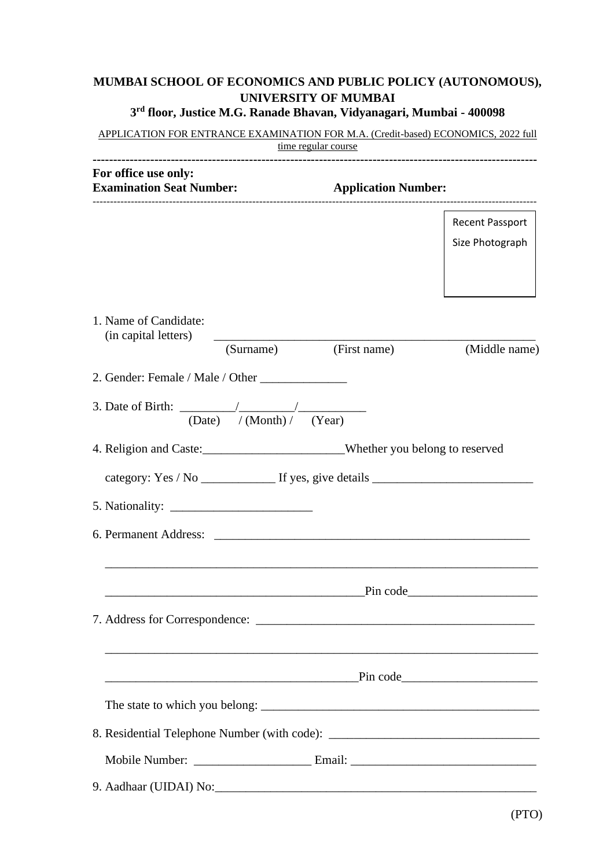## **MUMBAI SCHOOL OF ECONOMICS AND PUBLIC POLICY (AUTONOMOUS), UNIVERSITY OF MUMBAI 3 rd floor, Justice M.G. Ranade Bhavan, Vidyanagari, Mumbai - 400098**

| APPLICATION FOR ENTRANCE EXAMINATION FOR M.A. (Credit-based) ECONOMICS, 2022 full<br>time regular course |                            |                 |  |  |  |
|----------------------------------------------------------------------------------------------------------|----------------------------|-----------------|--|--|--|
| For office use only:<br><b>Examination Seat Number:</b>                                                  | <b>Application Number:</b> |                 |  |  |  |
|                                                                                                          |                            | Recent Passport |  |  |  |
|                                                                                                          |                            | Size Photograph |  |  |  |
|                                                                                                          |                            |                 |  |  |  |
| 1. Name of Candidate:<br>(in capital letters)                                                            |                            |                 |  |  |  |
| (Surname)                                                                                                | (First name)               | (Middle name)   |  |  |  |
| 2. Gender: Female / Male / Other                                                                         |                            |                 |  |  |  |
| 3. Date of Birth: $\frac{1}{\frac{(\text{Date})}{(\text{Month})}}$ (Year)                                |                            |                 |  |  |  |
| 4. Religion and Caste:_________________________Whether you belong to reserved                            |                            |                 |  |  |  |
| category: Yes / No _______________ If yes, give details _________________________                        |                            |                 |  |  |  |
|                                                                                                          |                            |                 |  |  |  |
| 6. Permanent Address:                                                                                    |                            |                 |  |  |  |
|                                                                                                          | $Pin \ code$               |                 |  |  |  |
|                                                                                                          |                            |                 |  |  |  |
|                                                                                                          |                            |                 |  |  |  |
|                                                                                                          |                            |                 |  |  |  |
| 8. Residential Telephone Number (with code): ___________________________________                         |                            |                 |  |  |  |
|                                                                                                          |                            |                 |  |  |  |
|                                                                                                          |                            |                 |  |  |  |